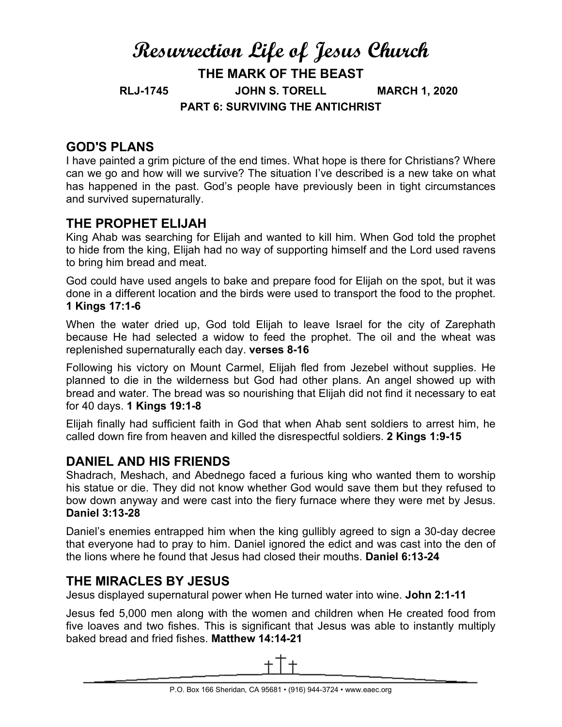# **Resurrection Life of Jesus Church THE MARK OF THE BEAST RLJ-1745 JOHN S. TORELL MARCH 1, 2020 PART 6: SURVIVING THE ANTICHRIST**

## **GOD'S PLANS**

I have painted a grim picture of the end times. What hope is there for Christians? Where can we go and how will we survive? The situation I've described is a new take on what has happened in the past. God's people have previously been in tight circumstances and survived supernaturally.

# **THE PROPHET ELIJAH**

King Ahab was searching for Elijah and wanted to kill him. When God told the prophet to hide from the king, Elijah had no way of supporting himself and the Lord used ravens to bring him bread and meat.

God could have used angels to bake and prepare food for Elijah on the spot, but it was done in a different location and the birds were used to transport the food to the prophet. **1 Kings 17:1-6**

When the water dried up, God told Elijah to leave Israel for the city of Zarephath because He had selected a widow to feed the prophet. The oil and the wheat was replenished supernaturally each day. **verses 8-16**

Following his victory on Mount Carmel, Elijah fled from Jezebel without supplies. He planned to die in the wilderness but God had other plans. An angel showed up with bread and water. The bread was so nourishing that Elijah did not find it necessary to eat for 40 days. **1 Kings 19:1-8**

Elijah finally had sufficient faith in God that when Ahab sent soldiers to arrest him, he called down fire from heaven and killed the disrespectful soldiers. **2 Kings 1:9-15**

### **DANIEL AND HIS FRIENDS**

Shadrach, Meshach, and Abednego faced a furious king who wanted them to worship his statue or die. They did not know whether God would save them but they refused to bow down anyway and were cast into the fiery furnace where they were met by Jesus. **Daniel 3:13-28**

Daniel's enemies entrapped him when the king gullibly agreed to sign a 30-day decree that everyone had to pray to him. Daniel ignored the edict and was cast into the den of the lions where he found that Jesus had closed their mouths. **Daniel 6:13-24**

### **THE MIRACLES BY JESUS**

Jesus displayed supernatural power when He turned water into wine. **John 2:1-11**

Jesus fed 5,000 men along with the women and children when He created food from five loaves and two fishes. This is significant that Jesus was able to instantly multiply baked bread and fried fishes. **Matthew 14:14-21**